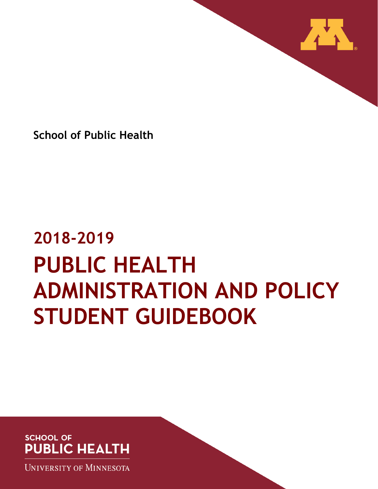

**School of Public Health**

# **2018-2019 PUBLIC HEALTH ADMINISTRATION AND POLICY STUDENT GUIDEBOOK**

## **SCHOOL OF PUBLIC HEALTH**

**UNIVERSITY OF MINNESOTA**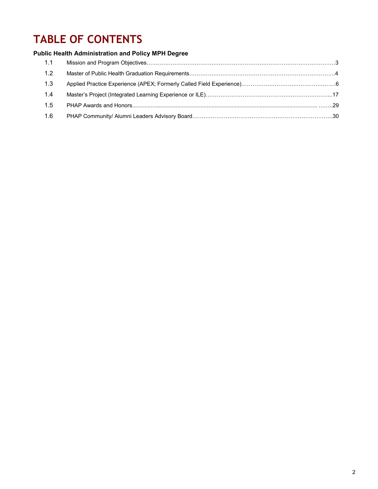# **TABLE OF CONTENTS**

### **Public Health Administration and Policy MPH Degree**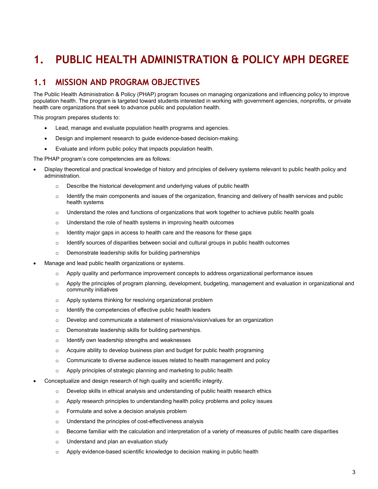# **1. PUBLIC HEALTH ADMINISTRATION & POLICY MPH DEGREE**

## **1.1 MISSION AND PROGRAM OBJECTIVES**

The Public Health Administration & Policy (PHAP) program focuses on managing organizations and influencing policy to improve population health. The program is targeted toward students interested in working with government agencies, nonprofits, or private health care organizations that seek to advance public and population health.

This program prepares students to:

- Lead, manage and evaluate population health programs and agencies.
- Design and implement research to guide evidence-based decision-making.
- Evaluate and inform public policy that impacts population health.

The PHAP program's core competencies are as follows:

- Display theoretical and practical knowledge of history and principles of delivery systems relevant to public health policy and administration.
	- o Describe the historical development and underlying values of public health
	- $\circ$  Identify the main components and issues of the organization, financing and delivery of health services and public health systems
	- $\circ$  Understand the roles and functions of organizations that work together to achieve public health goals
	- o Understand the role of health systems in improving health outcomes
	- $\circ$  Identity major gaps in access to health care and the reasons for these gaps
	- $\circ$  Identify sources of disparities between social and cultural groups in public health outcomes
	- o Demonstrate leadership skills for building partnerships
- Manage and lead public health organizations or systems.
	- $\circ$  Apply quality and performance improvement concepts to address organizational performance issues
	- $\circ$  Apply the principles of program planning, development, budgeting, management and evaluation in organizational and community initiatives
	- o Apply systems thinking for resolving organizational problem
	- o Identify the competencies of effective public health leaders
	- $\circ$  Develop and communicate a statement of missions/vision/values for an organization
	- o Demonstrate leadership skills for building partnerships.
	- o Identify own leadership strengths and weaknesses
	- $\circ$  Acquire ability to develop business plan and budget for public health programing
	- $\circ$  Communicate to diverse audience issues related to health management and policy
	- o Apply principles of strategic planning and marketing to public health
- Conceptualize and design research of high quality and scientific integrity.
	- $\circ$  Develop skills in ethical analysis and understanding of public health research ethics
	- $\circ$  Apply research principles to understanding health policy problems and policy issues
	- o Formulate and solve a decision analysis problem
	- o Understand the principles of cost-effectiveness analysis
	- $\circ$  Become familiar with the calculation and interpretation of a variety of measures of public health care disparities
	- o Understand and plan an evaluation study
	- o Apply evidence-based scientific knowledge to decision making in public health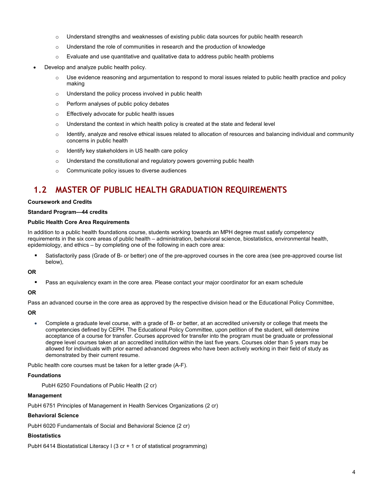- o Understand strengths and weaknesses of existing public data sources for public health research
- $\circ$  Understand the role of communities in research and the production of knowledge
- $\circ$  Evaluate and use quantitative and qualitative data to address public health problems
- Develop and analyze public health policy.
	- $\circ$  Use evidence reasoning and argumentation to respond to moral issues related to public health practice and policy making
	- o Understand the policy process involved in public health
	- o Perform analyses of public policy debates
	- o Effectively advocate for public health issues
	- $\circ$  Understand the context in which health policy is created at the state and federal level
	- $\circ$  Identify, analyze and resolve ethical issues related to allocation of resources and balancing individual and community concerns in public health
	- o Identify key stakeholders in US health care policy
	- o Understand the constitutional and regulatory powers governing public health
	- o Communicate policy issues to diverse audiences

## **1.2 MASTER OF PUBLIC HEALTH GRADUATION REQUIREMENTS**

#### **Coursework and Credits**

#### **Standard Program—44 credits**

#### **Public Health Core Area Requirements**

In addition to a public health foundations course, students working towards an MPH degree must satisfy competency requirements in the six core areas of public health – administration, behavioral science, biostatistics, environmental health, epidemiology, and ethics – by completing one of the following in each core area:

 Satisfactorily pass (Grade of B- or better) one of the pre-approved courses in the core area (see pre-approved course list below),

#### **OR**

Pass an equivalency exam in the core area. Please contact your major coordinator for an exam schedule

#### **OR**

Pass an advanced course in the core area as approved by the respective division head or the Educational Policy Committee,

#### **OR**

• Complete a graduate level course, with a grade of B- or better, at an accredited university or college that meets the competencies defined by CEPH. The Educational Policy Committee, upon petition of the student, will determine acceptance of a course for transfer. Courses approved for transfer into the program must be graduate or professional degree level courses taken at an accredited institution within the last five years. Courses older than 5 years may be allowed for individuals with prior earned advanced degrees who have been actively working in their field of study as demonstrated by their current resume.

Public health core courses must be taken for a letter grade (A-F).

#### **Foundations**

PubH 6250 Foundations of Public Health (2 cr)

#### **Management**

PubH 6751 Principles of Management in Health Services Organizations (2 cr)

#### **Behavioral Science**

PubH 6020 Fundamentals of Social and Behavioral Science (2 cr)

#### **Biostatistics**

PubH 6414 Biostatistical Literacy I (3 cr + 1 cr of statistical programming)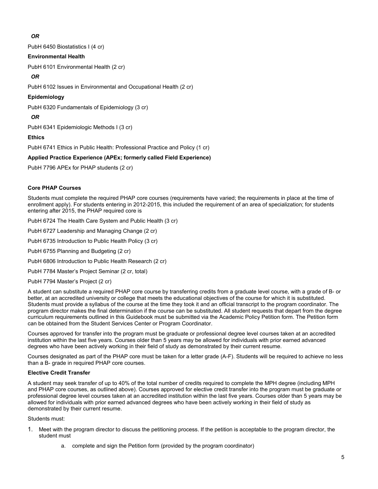#### *OR*

PubH 6450 Biostatistics I (4 cr)

#### **Environmental Health**

PubH 6101 Environmental Health (2 cr)

#### *OR*

PubH 6102 Issues in Environmental and Occupational Health (2 cr)

#### **Epidemiology**

PubH 6320 Fundamentals of Epidemiology (3 cr)

#### *OR*

PubH 6341 Epidemiologic Methods I (3 cr)

#### **Ethics**

PubH 6741 Ethics in Public Health: Professional Practice and Policy (1 cr)

#### **Applied Practice Experience (APEx; formerly called Field Experience)**

PubH 7796 APEx for PHAP students (2 cr)

#### **Core PHAP Courses**

Students must complete the required PHAP core courses (requirements have varied; the requirements in place at the time of enrollment apply). For students entering in 2012-2015, this included the requirement of an area of specialization; for students entering after 2015, the PHAP required core is

PubH 6724 The Health Care System and Public Health (3 cr)

PubH 6727 Leadership and Managing Change (2 cr)

PubH 6735 Introduction to Public Health Policy (3 cr)

PubH 6755 Planning and Budgeting (2 cr)

PubH 6806 Introduction to Public Health Research (2 cr)

PubH 7784 Master's Project Seminar (2 cr, total)

PubH 7794 Master's Project (2 cr)

A student can substitute a required PHAP core course by transferring credits from a graduate level course, with a grade of B- or better, at an accredited university or college that meets the educational objectives of the course for which it is substituted. Students must provide a syllabus of the course at the time they took it and an official transcript to the program coordinator. The program director makes the final determination if the course can be substituted. All student requests that depart from the degree curriculum requirements outlined in this Guidebook must be submitted via the Academic Policy Petition form. The Petition form can be obtained from the Student Services Center or Program Coordinator.

Courses approved for transfer into the program must be graduate or professional degree level courses taken at an accredited institution within the last five years. Courses older than 5 years may be allowed for individuals with prior earned advanced degrees who have been actively working in their field of study as demonstrated by their current resume.

Courses designated as part of the PHAP core must be taken for a letter grade (A-F). Students will be required to achieve no less than a B- grade in required PHAP core courses.

#### **Elective Credit Transfer**

A student may seek transfer of up to 40% of the total number of credits required to complete the MPH degree (including MPH and PHAP core courses, as outlined above). Courses approved for elective credit transfer into the program must be graduate or professional degree level courses taken at an accredited institution within the last five years. Courses older than 5 years may be allowed for individuals with prior earned advanced degrees who have been actively working in their field of study as demonstrated by their current resume.

Students must:

- 1. Meet with the program director to discuss the petitioning process. If the petition is acceptable to the program director, the student must
	- a. complete and sign the Petition form (provided by the program coordinator)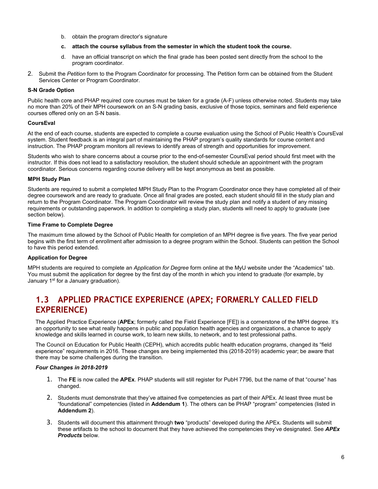- b. obtain the program director's signature
- **c. attach the course syllabus from the semester in which the student took the course.**
- d. have an official transcript on which the final grade has been posted sent directly from the school to the program coordinator.
- 2. Submit the *Petition* form to the Program Coordinator for processing. The Petition form can be obtained from the Student Services Center or Program Coordinator.

#### **S-N Grade Option**

Public health core and PHAP required core courses must be taken for a grade (A-F) unless otherwise noted. Students may take no more than 20% of their MPH coursework on an S-N grading basis, exclusive of those topics, seminars and field experience courses offered only on an S-N basis.

#### **CoursEval**

At the end of each course, students are expected to complete a course evaluation using the School of Public Health's CoursEval system. Student feedback is an integral part of maintaining the PHAP program's quality standards for course content and instruction. The PHAP program monitors all reviews to identify areas of strength and opportunities for improvement.

Students who wish to share concerns about a course prior to the end-of-semester CoursEval period should first meet with the instructor. If this does not lead to a satisfactory resolution, the student should schedule an appointment with the program coordinator. Serious concerns regarding course delivery will be kept anonymous as best as possible.

#### **MPH Study Plan**

Students are required to submit a completed MPH Study Plan to the Program Coordinator once they have completed all of their degree coursework and are ready to graduate. Once all final grades are posted, each student should fill in the study plan and return to the Program Coordinator. The Program Coordinator will review the study plan and notify a student of any missing requirements or outstanding paperwork. In addition to completing a study plan, students will need to apply to graduate (see section below).

#### **Time Frame to Complete Degree**

The maximum time allowed by the School of Public Health for completion of an MPH degree is five years. The five year period begins with the first term of enrollment after admission to a degree program within the School. Students can petition the School to have this period extended.

#### **Application for Degree**

MPH students are required to complete an *Application for Degree* form online at the MyU website under the "Academics" tab. You must submit the application for degree by the first day of the month in which you intend to graduate (for example, by January 1<sup>st</sup> for a January graduation).

## **1.3 APPLIED PRACTICE EXPERIENCE (APEX; FORMERLY CALLED FIELD EXPERIENCE)**

The Applied Practice Experience (**APEx**; formerly called the Field Experience [FE]) is a cornerstone of the MPH degree. It's an opportunity to see what really happens in public and population health agencies and organizations, a chance to apply knowledge and skills learned in course work, to learn new skills, to network, and to test professional paths.

The Council on Education for Public Health (CEPH), which accredits public health education programs, changed its "field experience" requirements in 2016. These changes are being implemented this (2018-2019) academic year; be aware that there may be some challenges during the transition.

#### *Four Changes in 2018-2019*

- 1. The **FE** is now called the **APEx**. PHAP students will still register for PubH 7796, but the name of that "course" has changed.
- 2. Students must demonstrate that they've attained five competencies as part of their APEx. At least three must be "foundational" competencies (listed in **Addendum 1**). The others can be PHAP "program" competencies (listed in **Addendum 2**).
- 3. Students will document this attainment through **two** "products" developed during the APEx. Students will submit these artifacts to the school to document that they have achieved the competencies they've designated. See *APEx Products* below.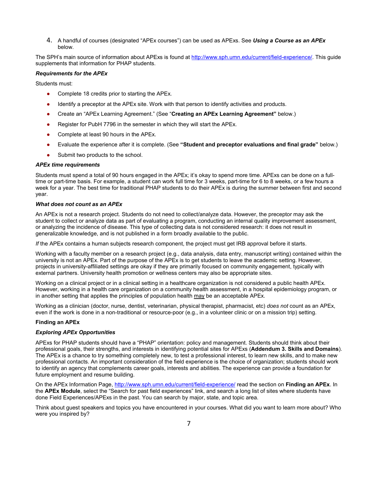4. A handful of courses (designated "APEx courses") can be used as APExs. See *Using a Course as an APEx* below.

The SPH's main source of information about APExs is found at [http://www.sph.umn.edu/current/field-experience/.](http://www.sph.umn.edu/current/field-experience/) This guide supplements that information for PHAP students.

#### *Requirements for the APEx*

Students must:

- Complete 18 credits prior to starting the APEx.
- Identify a preceptor at the APEx site. Work with that person to identify activities and products.
- Create an "APEx Learning Agreement." (See "**Creating an APEx Learning Agreement"** below.)
- Register for PubH 7796 in the semester in which they will start the APEx.
- Complete at least 90 hours in the APEx.
- Evaluate the experience after it is complete. (See **"Student and preceptor evaluations and final grade"** below.)
- Submit two products to the school.

#### *APEx time requirements*

Students must spend a total of 90 hours engaged in the APEx; it's okay to spend more time. APExs can be done on a fulltime or part-time basis. For example, a student can work full time for 3 weeks, part-time for 6 to 8 weeks, or a few hours a week for a year. The best time for traditional PHAP students to do their APEx is during the summer between first and second year.

#### *What does not count as an APEx*

An APEx is not a research project. Students do not need to collect/analyze data. However, the preceptor may ask the student to collect or analyze data as part of evaluating a program, conducting an internal quality improvement assessment, or analyzing the incidence of disease. This type of collecting data is not considered research: it does not result in generalizable knowledge, and is not published in a form broadly available to the public.

*If* the APEx contains a human subjects research component, the project must get IRB approval before it starts.

Working with a faculty member on a research project (e.g., data analysis, data entry, manuscript writing) contained within the university is not an APEx. Part of the purpose of the APEx is to get students to leave the academic setting. However, projects in university-affiliated settings are okay if they are primarily focused on community engagement, typically with external partners. University health promotion or wellness centers may also be appropriate sites.

Working on a clinical project or in a clinical setting in a healthcare organization is not considered a public health APEx. However, working in a health care organization on a community health assessment, in a hospital epidemiology program, or in another setting that applies the principles of population health may be an acceptable APEx.

Working as a clinician (doctor, nurse, dentist, veterinarian, physical therapist, pharmacist, etc) *does not* count as an APEx, even if the work is done in a non-traditional or resource-poor (e.g., in a volunteer clinic or on a mission trip) setting.

#### **Finding an APEx**

#### *Exploring APEx Opportunities*

APExs for PHAP students should have a "PHAP" orientation: policy and management. Students should think about their professional goals, their strengths, and interests in identifying potential sites for APExs (**Addendum 3. Skills and Domains**). The APEx is a chance to try something completely new, to test a professional interest, to learn new skills, and to make new professional contacts. An important consideration of the field experience is the choice of organization; students should work to identify an agency that complements career goals, interests and abilities. The experience can provide a foundation for future employment and resume building.

On the APEx Information Page[, http://www.sph.umn.edu/current/field-experience/](http://www.sph.umn.edu/current/field-experience/) read the section on **Finding an APEx**. In the **APEx Module**, select the "Search for past field experiences" link, and search a long list of sites where students have done Field Experiences/APExs in the past. You can search by major, state, and topic area.

Think about guest speakers and topics you have encountered in your courses. What did you want to learn more about? Who were you inspired by?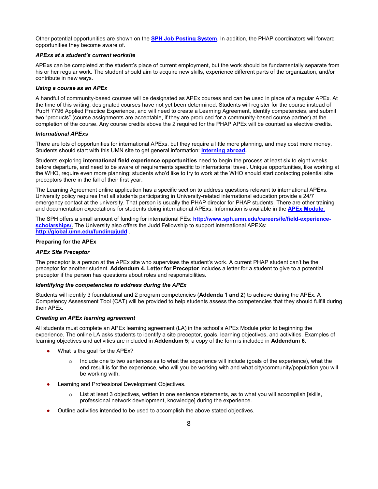Other potential opportunities are shown on the **[SPH Job Posting System](http://secure.ahc.umn.edu/publichealth/sphjobs/)**. In addition, the PHAP coordinators will forward opportunities they become aware of.

#### *APExs at a student's current worksite*

APExs can be completed at the student's place of current employment, but the work should be fundamentally separate from his or her regular work. The student should aim to acquire new skills, experience different parts of the organization, and/or contribute in new ways.

#### *Using a course as an APEx*

A handful of community-based courses will be designated as APEx courses and can be used in place of a regular APEx. At the time of this writing, designated courses have not yet been determined. Students will register for the course instead of PubH 7796 Applied Practice Experience, and will need to create a Learning Agreement, identify competencies, and submit two "products" (course assignments are acceptable, if they are produced for a community-based course partner) at the completion of the course. Any course credits above the 2 required for the PHAP APEx will be counted as elective credits.

#### *International APExs*

There are lots of opportunities for international APExs, but they require a little more planning, and may cost more money. Students should start with this UMN site to get general information: **[Interning abroad.](http://umabroad.umn.edu/students/choosingprogram/wiv/intern/)**

Students exploring **international field experience opportunities** need to begin the process at least six to eight weeks before departure, and need to be aware of requirements specific to international travel. Unique opportunities, like working at the WHO, require even more planning: students who'd like to try to work at the WHO should start contacting potential site preceptors there in the fall of their first year.

The Learning Agreement online application has a specific section to address questions relevant to international APExs. University policy requires that all students participating in University-related international education provide a 24/7 emergency contact at the university. That person is usually the PHAP director for PHAP students. There are other training and documentation expectations for students doing international APExs. Information is available in the **[APEx Module](http://www.sph.umn.edu/current/field-experience/)**[.](http://www.sph.umn.edu/current/field-experience/)

The SPH offers a small amount of funding for international FEs: **[http://www.sph.umn.edu/careers/fe/field-experience](http://www.sph.umn.edu/careers/fe/field-experience-scholarships/)**[scholarships/.](http://www.sph.umn.edu/careers/fe/field-experience-scholarships/) The University also offers the Judd Fellowship to support international APEXs: **<http://global.umn.edu/funding/judd>** .

#### **Preparing for the APEx**

#### *APEx Site Preceptor*

The preceptor is a person at the APEx site who supervises the student's work. A current PHAP student can't be the preceptor for another student. **Addendum 4. Letter for Preceptor** includes a letter for a student to give to a potential preceptor if the person has questions about roles and responsibilities.

#### *Identifying the competencies to address during the APEx*

Students will identify 3 foundational and 2 program competencies (**Addenda 1 and 2**) to achieve during the APEx. A Competency Assessment Tool (CAT) will be provided to help students assess the competencies that they should fulfill during their APEx.

#### *Creating an APEx learning agreement*

All students must complete an APEx learning agreement (LA) in the school's APEx Module prior to beginning the experience. The online LA asks students to identify a site preceptor, goals, learning objectives, and activities. Examples of learning objectives and activities are included in **Addendum 5;** a copy of the form is included in **Addendum 6**.

- What is the goal for the APEx?
	- $\circ$  Include one to two sentences as to what the experience will include (goals of the experience), what the end result is for the experience, who will you be working with and what city/community/population you will be working with.
- Learning and Professional Development Objectives.
	- $\circ$  List at least 3 objectives, written in one sentence statements, as to what you will accomplish [skills, professional network development, knowledge] during the experience.
- Outline activities intended to be used to accomplish the above stated objectives.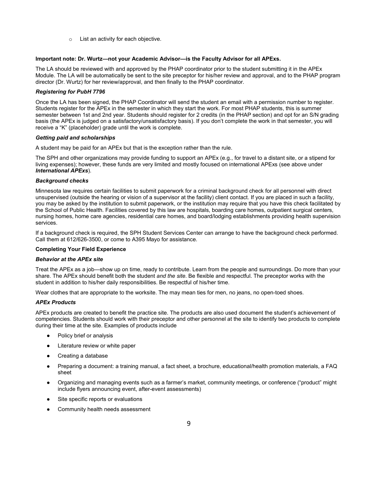o List an activity for each objective.

#### **Important note: Dr. Wurtz—not your Academic Advisor—is the Faculty Advisor for all APExs.**

The LA should be reviewed with and approved by the PHAP coordinator prior to the student submitting it in the APEx Module. The LA will be automatically be sent to the site preceptor for his/her review and approval, and to the PHAP program director (Dr. Wurtz) for her review/approval, and then finally to the PHAP coordinator.

#### *Registering for PubH 7796*

Once the LA has been signed, the PHAP Coordinator will send the student an email with a permission number to register. Students register for the APEx in the semester in which they start the work. For most PHAP students, this is summer semester between 1st and 2nd year. Students should register for 2 credits (in the PHAP section) and opt for an S/N grading basis (the APEx is judged on a satisfactory/unsatisfactory basis). If you don't complete the work in that semester, you will receive a "K" (placeholder) grade until the work is complete.

#### *Getting paid and scholarships*

A student may be paid for an APEx but that is the exception rather than the rule.

The SPH and other organizations may provide funding to support an APEx (e.g., for travel to a distant site, or a stipend for living expenses); however, these funds are very limited and mostly focused on international APExs (see above under *International APExs*).

#### *Background checks*

Minnesota law requires certain facilities to submit paperwork for a criminal background check for all personnel with direct unsupervised (outside the hearing or vision of a supervisor at the facility) client contact. If you are placed in such a facility, you may be asked by the institution to submit paperwork, or the institution may require that you have this check facilitated by the School of Public Health. Facilities covered by this law are hospitals, boarding care homes, outpatient surgical centers, nursing homes, home care agencies, residential care homes, and board/lodging establishments providing health supervision services.

If a background check is required, the SPH Student Services Center can arrange to have the background check performed. Call them at 612/626-3500, or come to A395 Mayo for assistance.

#### **Completing Your Field Experience**

#### *Behavior at the APEx site*

Treat the APEx as a job—show up on time, ready to contribute. Learn from the people and surroundings. Do more than your share. The APEx should benefit both the student *and the site*. Be flexible and respectful. The preceptor works with the student in addition to his/her daily responsibilities. Be respectful of his/her time.

Wear clothes that are appropriate to the worksite. The may mean ties for men, no jeans, no open-toed shoes.

#### *APEx Products*

APEx products are created to benefit the practice site. The products are also used document the student's achievement of competencies. Students should work with their preceptor and other personnel at the site to identify two products to complete during their time at the site. Examples of products include

- Policy brief or analysis
- Literature review or white paper
- Creating a database
- Preparing a document: a training manual, a fact sheet, a brochure, educational/health promotion materials, a FAQ sheet
- Organizing and managing events such as a farmer's market, community meetings, or conference ("product" might include flyers announcing event, after-event assessments)
- Site specific reports or evaluations
- Community health needs assessment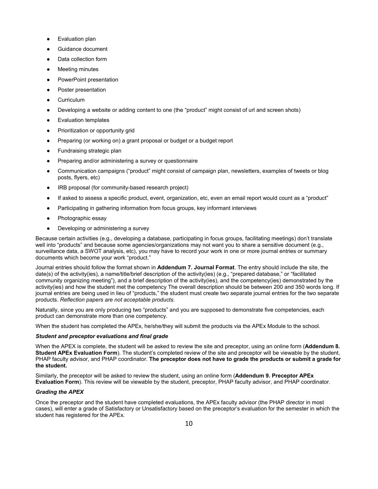- **Evaluation plan**
- Guidance document
- Data collection form
- Meeting minutes
- PowerPoint presentation
- Poster presentation
- Curriculum
- Developing a website or adding content to one (the "product" might consist of url and screen shots)
- Evaluation templates
- Prioritization or opportunity grid
- Preparing (or working on) a grant proposal or budget or a budget report
- Fundraising strategic plan
- Preparing and/or administering a survey or questionnaire
- Communication campaigns ("product" might consist of campaign plan, newsletters, examples of tweets or blog posts, flyers, etc)
- IRB proposal (for community-based research project)
- If asked to assess a specific product, event, organization, etc, even an email report would count as a "product"
- Participating in gathering information from focus groups, key informant interviews
- Photographic essay
- Developing or administering a survey

Because certain activities (e.g., developing a database, participating in focus groups, facilitating meetings) don't translate well into "products" and because some agencies/organizations may not want you to share a sensitive document (e.g., surveillance data, a SWOT analysis, etc), you may have to record your work in one or more journal entries or summary documents which become your work "product."

Journal entries should follow the format shown in **Addendum 7. Journal Format**. The entry should include the site, the date(s) of the activity(ies), a name/title/brief description of the activity(ies) (e.g., "prepared database," or "facilitated community organizing meeting"), and a brief description of the activity(ies), and the competency(ies) demonstrated by the activity(ies) and how the student met the competency The overall description should be between 200 and 350 words long. If journal entries are being used in lieu of "products," the student must create two separate journal entries for the two separate products. *Reflection papers are not acceptable products.*

Naturally, since you are only producing two "products" and you are supposed to demonstrate five competencies, each product can demonstrate more than one competency.

When the student has completed the APEx, he/she/they will submit the products via the APEx Module to the school.

#### *Student and preceptor evaluations and final grade*

When the APEX is complete, the student will be asked to review the site and preceptor, using an online form (**Addendum 8. Student APEx Evaluation Form**). The student's completed review of the site and preceptor will be viewable by the student, PHAP faculty advisor, and PHAP coordinator. **The preceptor does not have to grade the products or submit a grade for the student.**

Similarly, the preceptor will be asked to review the student, using an online form (**Addendum 9. Preceptor APEx Evaluation Form**). This review will be viewable by the student, preceptor, PHAP faculty advisor, and PHAP coordinator.

#### *Grading the APEX*

Once the preceptor and the student have completed evaluations, the APEx faculty advisor (the PHAP director in most cases), will enter a grade of Satisfactory or Unsatisfactory based on the preceptor's evaluation for the semester in which the student has registered for the APEx.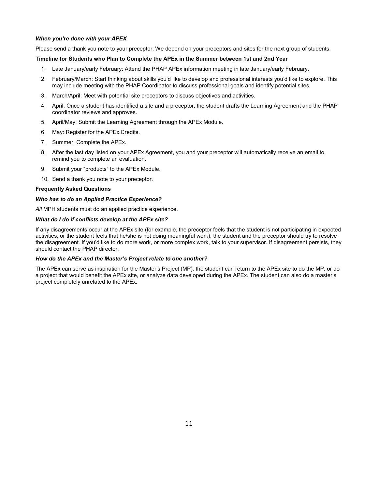#### *When you're done with your APEX*

Please send a thank you note to your preceptor. We depend on your preceptors and sites for the next group of students.

#### **Timeline for Students who Plan to Complete the APEx in the Summer between 1st and 2nd Year**

- 1. Late January/early February: Attend the PHAP APEx information meeting in late January/early February.
- 2. February/March: Start thinking about skills you'd like to develop and professional interests you'd like to explore. This may include meeting with the PHAP Coordinator to discuss professional goals and identify potential sites.
- 3. March/April: Meet with potential site preceptors to discuss objectives and activities.
- 4. April: Once a student has identified a site and a preceptor, the student drafts the Learning Agreement and the PHAP coordinator reviews and approves.
- 5. April/May: Submit the Learning Agreement through the APEx Module.
- 6. May: Register for the APEx Credits.
- 7. Summer: Complete the APEx.
- 8. After the last day listed on your APEx Agreement, you and your preceptor will automatically receive an email to remind you to complete an evaluation.
- 9. Submit your "products" to the APEx Module.
- 10. Send a thank you note to your preceptor.

#### **Frequently Asked Questions**

#### *Who has to do an Applied Practice Experience?*

*All* MPH students must do an applied practice experience.

#### *What do I do if conflicts develop at the APEx site?*

If any disagreements occur at the APEx site (for example, the preceptor feels that the student is not participating in expected activities, or the student feels that he/she is not doing meaningful work), the student and the preceptor should try to resolve the disagreement. If you'd like to do more work, or more complex work, talk to your supervisor. If disagreement persists, they should contact the PHAP director.

#### *How do the APEx and the Master's Project relate to one another?*

The APEx can serve as inspiration for the Master's Project (MP): the student can return to the APEx site to do the MP, or do a project that would benefit the APEx site, or analyze data developed during the APEx. The student can also do a master's project completely unrelated to the APEx.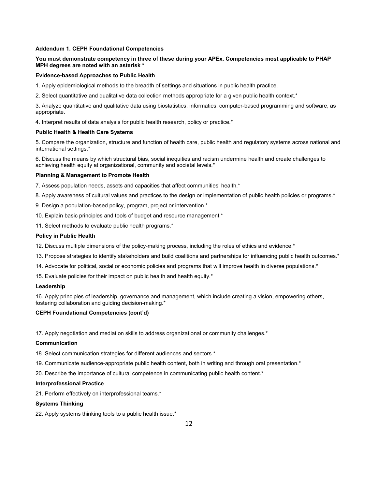#### **Addendum 1. CEPH Foundational Competencies**

#### **You must demonstrate competency in three of these during your APEx. Competencies most applicable to PHAP MPH degrees are noted with an asterisk \***

#### **Evidence-based Approaches to Public Health**

1. Apply epidemiological methods to the breadth of settings and situations in public health practice.

2. Select quantitative and qualitative data collection methods appropriate for a given public health context.\*

3. Analyze quantitative and qualitative data using biostatistics, informatics, computer-based programming and software, as appropriate.

4. Interpret results of data analysis for public health research, policy or practice.\*

#### **Public Health & Health Care Systems**

5. Compare the organization, structure and function of health care, public health and regulatory systems across national and international settings.\*

6. Discuss the means by which structural bias, social inequities and racism undermine health and create challenges to achieving health equity at organizational, community and societal levels.\*

#### **Planning & Management to Promote Health**

7. Assess population needs, assets and capacities that affect communities' health.\*

- 8. Apply awareness of cultural values and practices to the design or implementation of public health policies or programs.\*
- 9. Design a population-based policy, program, project or intervention.\*
- 10. Explain basic principles and tools of budget and resource management.\*
- 11. Select methods to evaluate public health programs.\*

#### **Policy in Public Health**

- 12. Discuss multiple dimensions of the policy-making process, including the roles of ethics and evidence.\*
- 13. Propose strategies to identify stakeholders and build coalitions and partnerships for influencing public health outcomes.\*
- 14. Advocate for political, social or economic policies and programs that will improve health in diverse populations.\*
- 15. Evaluate policies for their impact on public health and health equity.\*

#### **Leadership**

16. Apply principles of leadership, governance and management, which include creating a vision, empowering others, fostering collaboration and guiding decision-making.\*

#### **CEPH Foundational Competencies (cont'd)**

17. Apply negotiation and mediation skills to address organizational or community challenges.\*

#### **Communication**

18. Select communication strategies for different audiences and sectors.\*

- 19. Communicate audience-appropriate public health content, both in writing and through oral presentation.\*
- 20. Describe the importance of cultural competence in communicating public health content.\*

#### **Interprofessional Practice**

21. Perform effectively on interprofessional teams.\*

#### **Systems Thinking**

22. Apply systems thinking tools to a public health issue.\*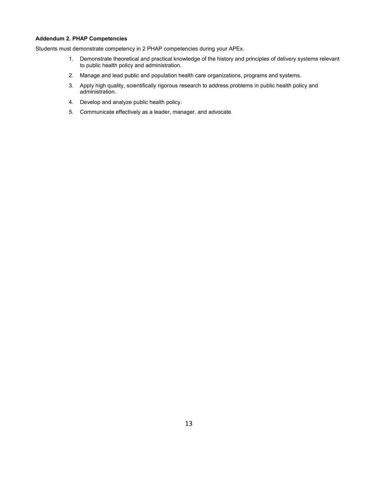#### **Addendum 2. PHAP Competencies**

Students must demonstrate competency in 2 PHAP competencies during your APEx.

- 1. Demonstrate theoretical and practical knowledge of the history and principles of delivery systems relevant to public health policy and administration.
- 2. Manage and lead public and population health care organizations, programs and systems.
- 3. Apply high quality, scientifically rigorous research to address problems in public health policy and administration.
- 4. Develop and analyze public health policy.
- 5. Communicate effectively as a leader, manager, and advocate.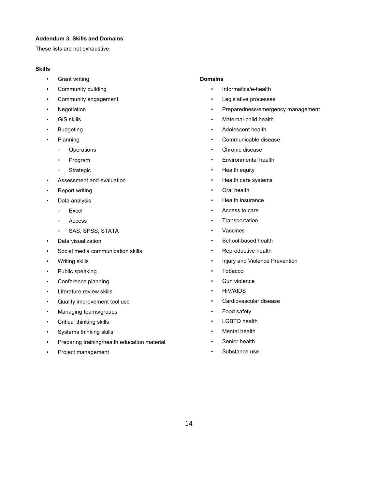#### **Addendum 3. Skills and Domains**

These lists are not exhaustive.

#### **Skills**

- Grant writing
- Community building
- Community engagement
- Negotiation
- GIS skills
- Budgeting
- Planning
	- Operations
	- Program
	- Strategic
- Assessment and evaluation
- **Report writing**
- Data analysis
	- Excel
	- Access
	- SAS, SPSS, STATA
- Data visualization
- Social media communication skills
- Writing skills
- Public speaking
- Conference planning
- Literature review skills
- Quality improvement tool use
- Managing teams/groups
- Critical thinking skills
- Systems thinking skills
- Preparing training/health education material
- Project management

#### **Domains**

- Informatics/e-health
- Legislative processes
- Preparedness/emergency management
- Maternal-child health
- Adolescent health
- Communicable disease
- Chronic disease
- Environmental health
- Health equity
- Health care systems
- Oral health
- Health insurance
- Access to care
- Transportation
- Vaccines
- School-based health
- Reproductive health
- Injury and Violence Prevention
- Tobacco
- Gun violence
- HIV/AIDS
- Cardiovascular disease
- Food safety
- LGBTQ health
- Mental health
- Senior health
- Substance use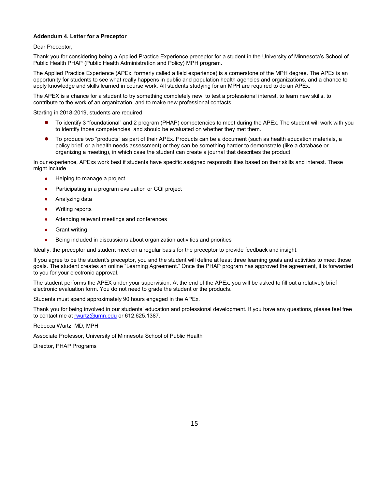#### **Addendum 4. Letter for a Preceptor**

#### Dear Preceptor,

Thank you for considering being a Applied Practice Experience preceptor for a student in the University of Minnesota's School of Public Health PHAP (Public Health Administration and Policy) MPH program.

The Applied Practice Experience (APEx; formerly called a field experience) is a cornerstone of the MPH degree. The APEx is an opportunity for students to see what really happens in public and population health agencies and organizations, and a chance to apply knowledge and skills learned in course work. All students studying for an MPH are required to do an APEx.

The APEX is a chance for a student to try something completely new, to test a professional interest, to learn new skills, to contribute to the work of an organization, and to make new professional contacts.

Starting in 2018-2019, students are required

- To identify 3 "foundational" and 2 program (PHAP) competencies to meet during the APEx. The student will work with you to identify those competencies, and should be evaluated on whether they met them.
- To produce two "products" as part of their APEx. Products can be a document (such as health education materials, a policy brief, or a health needs assessment) or they can be something harder to demonstrate (like a database or organizing a meeting), in which case the student can create a journal that describes the product.

In our experience, APExs work best if students have specific assigned responsibilities based on their skills and interest. These might include

- Helping to manage a project
- Participating in a program evaluation or CQI project
- Analyzing data
- Writing reports
- Attending relevant meetings and conferences
- **Grant writing**
- Being included in discussions about organization activities and priorities

Ideally, the preceptor and student meet on a regular basis for the preceptor to provide feedback and insight.

If you agree to be the student's preceptor, you and the student will define at least three learning goals and activities to meet those goals. The student creates an online "Learning Agreement." Once the PHAP program has approved the agreement, it is forwarded to you for your electronic approval.

The student performs the APEX under your supervision. At the end of the APEx, you will be asked to fill out a relatively brief electronic evaluation form. You do not need to grade the student or the products.

Students must spend approximately 90 hours engaged in the APEx.

Thank you for being involved in our students' education and professional development. If you have any questions, please feel free to contact me a[t rwurtz@umn.edu](mailto:rwurtz@umn.edu) or 612.625.1387.

Rebecca Wurtz, MD, MPH

Associate Professor, University of Minnesota School of Public Health

Director, PHAP Programs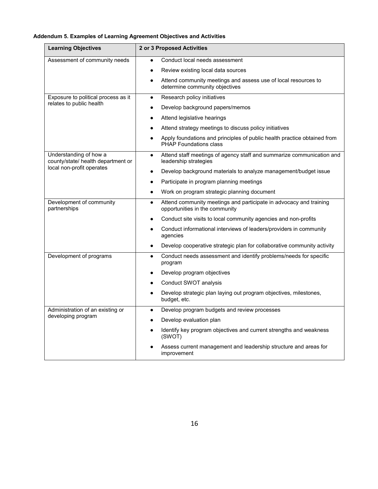#### **Addendum 5. Examples of Learning Agreement Objectives and Activities**

| <b>Learning Objectives</b>                                                                | 2 or 3 Proposed Activities                                                                                        |
|-------------------------------------------------------------------------------------------|-------------------------------------------------------------------------------------------------------------------|
| Assessment of community needs                                                             | Conduct local needs assessment                                                                                    |
|                                                                                           | Review existing local data sources                                                                                |
|                                                                                           | Attend community meetings and assess use of local resources to<br>$\bullet$<br>determine community objectives     |
| Exposure to political process as it<br>relates to public health                           | Research policy initiatives<br>$\bullet$                                                                          |
|                                                                                           | Develop background papers/memos<br>$\bullet$                                                                      |
|                                                                                           | Attend legislative hearings<br>$\bullet$                                                                          |
|                                                                                           | Attend strategy meetings to discuss policy initiatives                                                            |
|                                                                                           | Apply foundations and principles of public health practice obtained from<br><b>PHAP Foundations class</b>         |
| Understanding of how a<br>county/state/ health department or<br>local non-profit operates | Attend staff meetings of agency staff and summarize communication and<br>$\bullet$<br>leadership strategies       |
|                                                                                           | Develop background materials to analyze management/budget issue<br>$\bullet$                                      |
|                                                                                           | Participate in program planning meetings<br>$\bullet$                                                             |
|                                                                                           | Work on program strategic planning document<br>$\bullet$                                                          |
| Development of community<br>partnerships                                                  | Attend community meetings and participate in advocacy and training<br>$\bullet$<br>opportunities in the community |
|                                                                                           | Conduct site visits to local community agencies and non-profits<br>$\bullet$                                      |
|                                                                                           | Conduct informational interviews of leaders/providers in community<br>$\bullet$<br>agencies                       |
|                                                                                           | Develop cooperative strategic plan for collaborative community activity<br>$\bullet$                              |
| Development of programs                                                                   | Conduct needs assessment and identify problems/needs for specific<br>$\bullet$<br>program                         |
|                                                                                           | Develop program objectives<br>$\bullet$                                                                           |
|                                                                                           | Conduct SWOT analysis<br>$\bullet$                                                                                |
|                                                                                           | Develop strategic plan laying out program objectives, milestones,<br>budget, etc.                                 |
| Administration of an existing or<br>developing program                                    | Develop program budgets and review processes<br>$\bullet$                                                         |
|                                                                                           | Develop evaluation plan<br>$\bullet$                                                                              |
|                                                                                           | Identify key program objectives and current strengths and weakness<br>(SWOT)                                      |
|                                                                                           | Assess current management and leadership structure and areas for<br>improvement                                   |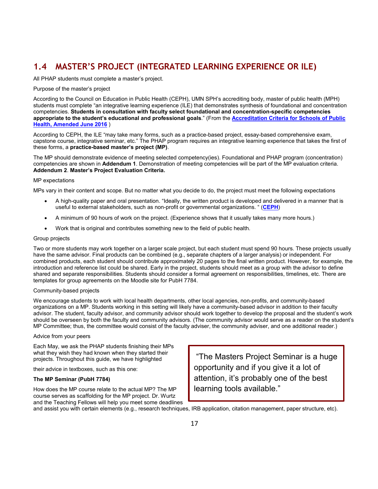## **1.4 MASTER'S PROJECT (INTEGRATED LEARNING EXPERIENCE OR ILE)**

All PHAP students must complete a master's project.

#### Purpose of the master's project

According to the Council on Education in Public Health (CEPH), UMN SPH's accrediting body, master of public health (MPH) students must complete "an integrative learning experience (ILE) that demonstrates synthesis of foundational and concentration competencies. **Students in consultation with faculty select foundational and concentration-specific competencies appropriate to the student's educational and professional goals**." (From the **[Accreditation Criteria for Schools of Public](https://ceph.org/assets/2016.Criteria.pdf)  [Health, Amended June 2016](https://ceph.org/assets/2016.Criteria.pdf)** )

According to CEPH, the ILE "may take many forms, such as a practice-based project, essay-based comprehensive exam, capstone course, integrative seminar, etc." The PHAP program requires an integrative learning experience that takes the first of these forms, a **practice-based master's project (MP)**.

The MP should demonstrate evidence of meeting selected competency(ies). Foundational and PHAP program (concentration) competencies are shown in **Addendum 1**. Demonstration of meeting competencies will be part of the MP evaluation criteria. **Addendum 2**. **Master's Project Evaluation Criteria.** 

#### MP expectations

MPs vary in their content and scope. But no matter what you decide to do, the project must meet the following expectations

- A high-quality paper and oral presentation. "Ideally, the written product is developed and delivered in a manner that is useful to external stakeholders, such as non-profit or governmental organizations. " (**[CEPH](https://ceph.org/assets/2016.Criteria.pdf)**)
- A minimum of 90 hours of work on the project. (Experience shows that it usually takes many more hours.)
- Work that is original and contributes something new to the field of public health.

#### Group projects

Two or more students may work together on a larger scale project, but each student must spend 90 hours. These projects usually have the same advisor. Final products can be combined (e.g., separate chapters of a larger analysis) or independent. For combined products, each student should contribute approximately 20 pages to the final written product. However, for example, the introduction and reference list could be shared. Early in the project, students should meet as a group with the advisor to define shared and separate responsibilities. Students should consider a formal agreement on responsibilities, timelines, etc. There are templates for group agreements on the Moodle site for PubH 7784.

#### Community-based projects

We encourage students to work with local health departments, other local agencies, non-profits, and community-based organizations on a MP. Students working in this setting will likely have a community-based advisor in addition to their faculty advisor. The student, faculty advisor, and community advisor should work together to develop the proposal and the student's work should be overseen by both the faculty and community advisors. (The community advisor would serve as a reader on the student's MP Committee; thus, the committee would consist of the faculty adviser, the community adviser, and one additional reader.)

#### Advice from your peers

Each May, we ask the PHAP students finishing their MPs what they wish they had known when they started their projects. Throughout this guide, we have highlighted

their advice in textboxes, such as this one:

#### **The MP Seminar (PubH 7784)**

How does the MP course relate to the actual MP? The MP course serves as scaffolding for the MP project. Dr. Wurtz and the Teaching Fellows will help you meet some deadlines

"The Masters Project Seminar is a huge opportunity and if you give it a lot of attention, it's probably one of the best learning tools available."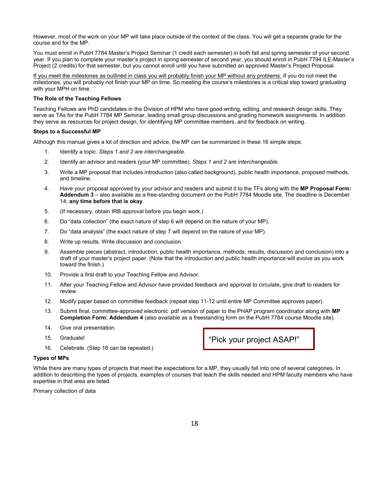However, most of the work on your MP will take place outside of the context of the class. You will get a separate grade for the course and for the MP.

You must enroll in PubH 7784 Master's Project Seminar (1 credit each semester) in both fall and spring semester of your second year. If you plan to complete your master's project in spring semester of second year, you should enroll in PubH 7794 ILE-Master's Project (2 credits) for that semester, but you cannot enroll until you have submitted an approved Master's Project Proposal.

If you meet the milestones as outlined in class you will probably finish your MP without any problems. If you do not meet the milestones, you will probably not finish your MP on time. So meeting the course's milestones is a critical step toward graduating with your MPH on time.

#### **The Role of the Teaching Fellows**

Teaching Fellows are PhD candidates in the Division of HPM who have good writing, editing, and research design skills. They serve as TAs for the PubH 7784 MP Seminar, leading small group discussions and grading homework assignments. In addition they serve as resources for project design, for identifying MP committee members, and for feedback on writing.

#### **Steps to a Successful MP**

Although this manual gives a lot of direction and advice, the MP can be summarized in these 16 simple steps.

- 1. Identify a topic. *Steps 1 and 2 are interchangeable.*
- 2. Identify an advisor and readers (your MP committee). *Steps 1 and 2 are interchangeable.*
- 3. Write a MP proposal that includes introduction (also called background), public health importance, proposed methods, and timeline.
- 4. Have your proposal approved by your advisor and readers and submit it to the TFs along with the **MP Proposal Form: Addendum 3** – also available as a free-standing document on the PubH 7784 Moodle site. The deadline is December 14; **any time before that is okay**.
- 5. (If necessary, obtain IRB approval before you begin work.)
- 6. Do "data collection" (the exact nature of step 6 will depend on the nature of your MP).
- 7. Do "data analysis" (the exact nature of step 7 will depend on the nature of your MP).
- 8. Write up results. Write discussion and conclusion.
- 9. Assemble pieces (abstract, introduction, public health importance, methods, results, discussion and conclusion) into a draft of your master's project paper. (Note that the introduction and public health importance will evolve as you work toward the finish.)
- 10. Provide a first draft to your Teaching Fellow and Advisor.
- 11. After your Teaching Fellow and Advisor have provided feedback and approval to circulate, give draft to readers for review.
- 12. Modify paper based on committee feedback (repeat step 11-12 until entire MP Committee approves paper).
- 13. Submit final, committee-approved electronic .pdf version of paper to the PHAP program coordinator along with **MP Completion Form: Addendum 4** (also available as a freestanding form on the PubH 7784 course Moodle site).
- 14. Give oral presentation.
- 15. Graduate!
- 16. Celebrate. (Step 16 can be repeated.)

#### **Types of MPs**

While there are many types of projects that meet the expectations for a MP, they usually fall into one of several categories. In addition to describing the types of projects, examples of courses that teach the skills needed and HPM faculty members who have expertise in that area are listed.

Primary collection of data

"Pick your project ASAP!"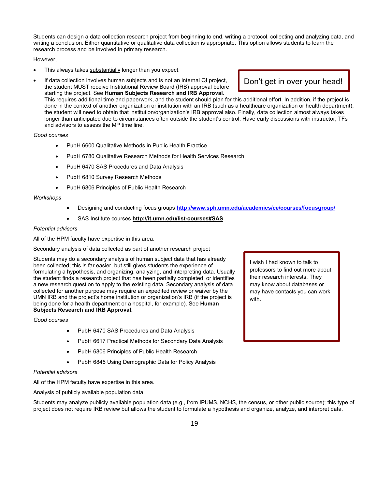Students can design a data collection research project from beginning to end, writing a protocol, collecting and analyzing data, and writing a conclusion. Either quantitative or qualitative data collection is appropriate. This option allows students to learn the research process and be involved in primary research.

#### However,

- This always takes substantially longer than you expect.
- If data collection involves human subjects and is not an internal QI project, the student MUST receive Institutional Review Board (IRB) approval before starting the project. See **Human Subjects Research and IRB Approval**. This requires additional time and paperwork, and the student should plan for this additional effort. In addition, if the project is done in the context of another organization or institution with an IRB (such as a healthcare organization or health department), the student will need to obtain that institution/organization's IRB approval also. Finally, data collection almost always takes longer than anticipated due to circumstances often outside the student's control. Have early discussions with instructor, TFs and advisors to assess the MP time line.

#### *Good courses*

- PubH 6600 Qualitative Methods in Public Health Practice
- PubH 6780 Qualitative Research Methods for Health Services Research
- PubH 6470 SAS Procedures and Data Analysis
- PubH 6810 Survey Research Methods
- PubH 6806 Principles of Public Health Research

#### *Workshops*

- Designing and conducting focus groups **<http://www.sph.umn.edu/academics/ce/courses/focusgroup/>**
- SAS Institute courses **http://it.umn.edu/list-courses#SAS**

#### *Potential advisors*

All of the HPM faculty have expertise in this area.

Secondary analysis of data collected as part of another research project

Students may do a secondary analysis of human subject data that has already been collected; this is far easier, but still gives students the experience of formulating a hypothesis, and organizing, analyzing, and interpreting data. Usually the student finds a research project that has been partially completed, or identifies a new research question to apply to the existing data. Secondary analysis of data collected for another purpose may require an expedited review or waiver by the UMN IRB and the project's home institution or organization's IRB (if the project is being done for a health department or a hospital, for example). See **Human Subjects Research and IRB Approval.**

#### *Good courses*

- PubH 6470 SAS Procedures and Data Analysis
- PubH 6617 Practical Methods for Secondary Data Analysis
- PubH 6806 Principles of Public Health Research
- PubH 6845 Using Demographic Data for Policy Analysis

#### *Potential advisors*

All of the HPM faculty have expertise in this area.

Analysis of publicly available population data

Students may analyze publicly available population data (e.g., from IPUMS, NCHS, the census, or other public source); this type of project does not require IRB review but allows the student to formulate a hypothesis and organize, analyze, and interpret data.

I wish I had known to talk to professors to find out more about their research interests. They may know about databases or may have contacts you can work with.

#### Don't get in over your head!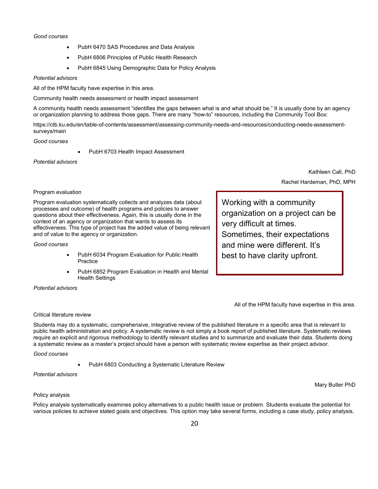#### *Good courses*

- PubH 6470 SAS Procedures and Data Analysis
- PubH 6806 Principles of Public Health Research
- PubH 6845 Using Demographic Data for Policy Analysis

#### *Potential advisors*

All of the HPM faculty have expertise in this area.

Community health needs assessment or health impact assessment

A community health needs assessment "identifies the gaps between what is and what should be." It is usually done by an agency or organization planning to address those gaps. There are many "how-to" resources, including the Community Tool Box:

https://ctb.ku.edu/en/table-of-contents/assessment/assessing-community-needs-and-resources/conducting-needs-assessmentsurveys/main

#### *Good courses*

PubH 6703 Health Impact Assessment

#### *Potential advisors*

Kathleen Call, PhD Rachel Hardeman, PhD, MPH

Program evaluation

Program evaluation systematically collects and analyzes data (about processes and outcome) of health programs and policies to answer questions about their effectiveness. Again, this is usually done in the context of an agency or organization that wants to assess its effectiveness. This type of project has the added value of being relevant and of value to the agency or organization.

#### *Good courses*

- PubH 6034 Program Evaluation for Public Health **Practice**
- PubH 6852 Program Evaluation in Health and Mental Health Settings

#### *Potential advisors*

Working with a community organization on a project can be very difficult at times. Sometimes, their expectations and mine were different. It's best to have clarity upfront.

All of the HPM faculty have expertise in this area.

#### Critical literature review

Students may do a systematic, comprehensive, integrative review of the published literature in a specific area that is relevant to public health administration and policy. A systematic review is not simply a book report of published literature. Systematic reviews require an explicit and rigorous methodology to identify relevant studies and to summarize and evaluate their data. Students doing a systematic review as a master's project should have a person with systematic review expertise as their project advisor.

#### *Good courses*

• PubH 6803 Conducting a Systematic Literature Review

#### *Potential advisors*

Mary Butler PhD

#### Policy analysis

Policy analysis systematically examines policy alternatives to a public health issue or problem. Students evaluate the potential for various policies to achieve stated goals and objectives. This option may take several forms, including a case study, policy analysis,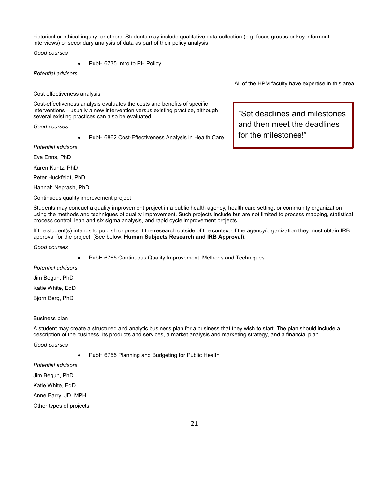historical or ethical inquiry, or others. Students may include qualitative data collection (e.g. focus groups or key informant interviews) or secondary analysis of data as part of their policy analysis.

*Good courses*

PubH 6735 Intro to PH Policy

*Potential advisors*

Cost effectiveness analysis

Cost-effectiveness analysis evaluates the costs and benefits of specific interventions—usually a new intervention versus existing practice, although several existing practices can also be evaluated.

*Good courses*

• PubH 6862 Cost-Effectiveness Analysis in Health Care

*Potential advisors*

Eva Enns, PhD

Karen Kuntz, PhD

Peter Huckfeldt, PhD

Hannah Neprash, PhD

Continuous quality improvement project

All of the HPM faculty have expertise in this area.

"Set deadlines and milestones and then meet the deadlines for the milestones!"

Students may conduct a quality improvement project in a public health agency, health care setting, or community organization using the methods and techniques of quality improvement. Such projects include but are not limited to process mapping, statistical process control, lean and six sigma analysis, and rapid cycle improvement projects

If the student(s) intends to publish or present the research outside of the context of the agency/organization they must obtain IRB approval for the project. (See below: **Human Subjects Research and IRB Approval**).

*Good courses* 

• PubH 6765 Continuous Quality Improvement: Methods and Techniques

*Potential advisors*

Jim Begun, PhD

Katie White, EdD

Bjorn Berg, PhD

#### Business plan

A student may create a structured and analytic business plan for a business that they wish to start. The plan should include a description of the business, its products and services, a market analysis and marketing strategy, and a financial plan.

*Good courses*

PubH 6755 Planning and Budgeting for Public Health

*Potential advisors*

Jim Begun, PhD

Katie White, EdD

Anne Barry, JD, MPH

Other types of projects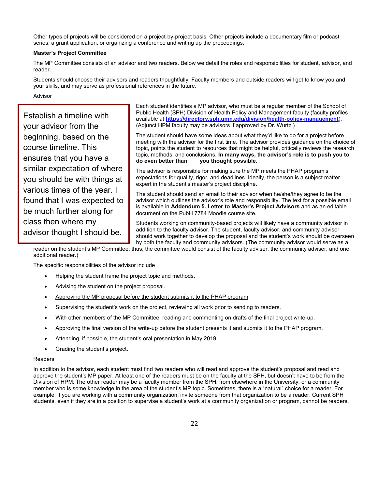Other types of projects will be considered on a project-by-project basis. Other projects include a documentary film or podcast series, a grant application, or organizing a conference and writing up the proceedings.

#### **Master's Project Committee**

The MP Committee consists of an advisor and two readers. Below we detail the roles and responsibilities for student, advisor, and reader.

Students should choose their advisors and readers thoughtfully. Faculty members and outside readers will get to know you and your skills, and may serve as professional references in the future.

#### Advisor

Establish a timeline with your advisor from the beginning, based on the course timeline. This ensures that you have a similar expectation of where you should be with things at various times of the year. I found that I was expected to be much further along for class then where my advisor thought I should be.

Each student identifies a MP advisor, who must be a regular member of the School of Public Health (SPH) Division of Health Policy and Management faculty (faculty profiles available at **<https://directory.sph.umn.edu/division/health-policy-management>**). (Adjunct HPM faculty may be advisors if approved by Dr. Wurtz.)

The student should have some ideas about what they'd like to do for a project before meeting with the advisor for the first time. The advisor provides guidance on the choice of topic, points the student to resources that might be helpful, critically reviews the research topic, methods, and conclusions. **In many ways, the advisor's role is to push you to do even better than you thought possible**.

The advisor is responsible for making sure the MP meets the PHAP program's expectations for quality, rigor, and deadlines. Ideally, the person is a subject matter expert in the student's master's project discipline.

The student should send an email to their advisor when he/she/they agree to be the advisor which outlines the advisor's role and responsibility. The text for a possible email is available in **Addendum 5. Letter to Master's Project Advisors** and as an editable document on the PubH 7784 Moodle course site.

Students working on community-based projects will likely have a community advisor in addition to the faculty advisor. The student, faculty advisor, and community advisor should work together to develop the proposal and the student's work should be overseen by both the faculty and community advisors. (The community advisor would serve as a

reader on the student's MP Committee; thus, the committee would consist of the faculty adviser, the community adviser, and one additional reader.)

The specific responsibilities of the advisor include

- Helping the student frame the project topic and methods.
- Advising the student on the project proposal.
- Approving the MP proposal before the student submits it to the PHAP program.
- Supervising the student's work on the project, reviewing all work prior to sending to readers.
- With other members of the MP Committee, reading and commenting on drafts of the final project write-up.
- Approving the final version of the write-up before the student presents it and submits it to the PHAP program.
- Attending, if possible, the student's oral presentation in May 2019.
- Grading the student's project.

#### Readers

In addition to the advisor, each student must find two readers who will read and approve the student's proposal and read and approve the student's MP paper. At least one of the readers must be on the faculty at the SPH, but doesn't have to be from the Division of HPM. The other reader may be a faculty member from the SPH, from elsewhere in the University, or a community member who is some knowledge in the area of the student's MP topic. Sometimes, there is a "natural" choice for a reader. For example, if you are working with a community organization, invite someone from that organization to be a reader. Current SPH students, even if they are in a position to supervise a student's work at a community organization or program, cannot be readers.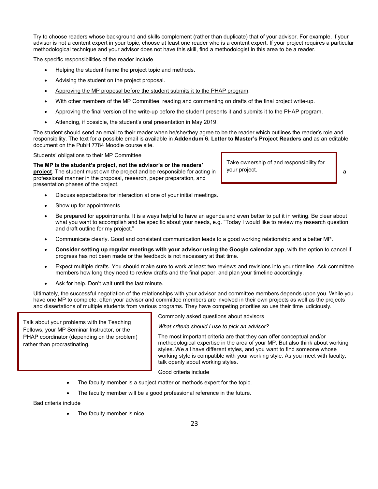Try to choose readers whose background and skills complement (rather than duplicate) that of your advisor. For example, if your advisor is not a content expert in your topic, choose at least one reader who is a content expert. If your project requires a particular methodological technique and your advisor does not have this skill, find a methodologist in this area to be a reader.

The specific responsibilities of the reader include

- Helping the student frame the project topic and methods.
- Advising the student on the project proposal.
- Approving the MP proposal before the student submits it to the PHAP program.
- With other members of the MP Committee, reading and commenting on drafts of the final project write-up.
- Approving the final version of the write-up before the student presents it and submits it to the PHAP program.
- Attending, if possible, the student's oral presentation in May 2019.

The student should send an email to their reader when he/she/they agree to be the reader which outlines the reader's role and responsibility. The text for a possible email is available in **Addendum 6. Letter to Master's Project Readers** and as an editable document on the PubH 7784 Moodle course site.

Students' obligations to their MP Committee

#### **The MP is the student's project, not the advisor's or the readers'**

**project**. The student must own the project and be responsible for acting in **a** your project. professional manner in the proposal, research, paper preparation, and presentation phases of the project.

- Discuss expectations for interaction at one of your initial meetings.
- Show up for appointments.
- Be prepared for appointments. It is always helpful to have an agenda and even better to put it in writing. Be clear about what you want to accomplish and be specific about your needs, e.g. "Today I would like to review my research question and draft outline for my project."
- Communicate clearly. Good and consistent communication leads to a good working relationship and a better MP.
- **Consider setting up regular meetings with your advisor using the Google calendar app**, with the option to cancel if progress has not been made or the feedback is not necessary at that time.
- Expect multiple drafts. You should make sure to work at least two reviews and revisions into your timeline. Ask committee members how long they need to review drafts and the final paper, and plan your timeline accordingly.
- Ask for help. Don't wait until the last minute.

Ultimately, the successful negotiation of the relationships with your advisor and committee members depends upon you. While you have one MP to complete, often your advisor and committee members are involved in their own projects as well as the projects and dissertations of multiple students from various programs. They have competing priorities so use their time judiciously.

Talk about your problems with the Teaching Fellows, your MP Seminar Instructor, or the PHAP coordinator (depending on the problem) rather than procrastinating.

Commonly asked questions about advisors

*What criteria should I use to pick an advisor?*

The most important criteria are that they can offer conceptual and/or methodological expertise in the area of your MP. But also think about working styles. We all have different styles, and you want to find someone whose working style is compatible with your working style. As you meet with faculty, talk openly about working styles.

Good criteria include

- The faculty member is a subject matter or methods expert for the topic.
- The faculty member will be a good professional reference in the future.

Bad criteria include

• The faculty member is nice.

Take ownership of and responsibility for your project.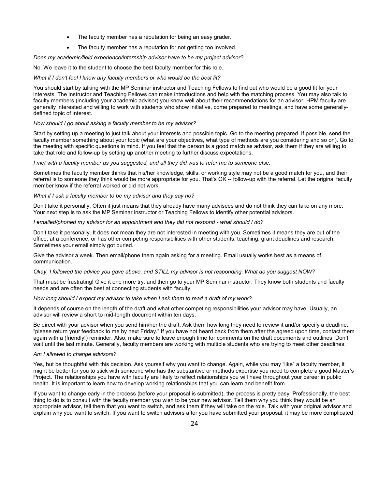- The faculty member has a reputation for being an easy grader.
- The faculty member has a reputation for not getting too involved.

*Does my academic/field experience/internship advisor have to be my project advisor?*

No. We leave it to the student to choose the best faculty member for this role.

*What if I don't feel I know any faculty members or who would be the best fit?*

You should start by talking with the MP Seminar instructor and Teaching Fellows to find out who would be a good fit for your interests. The instructor and Teaching Fellows can make introductions and help with the matching process. You may also talk to faculty members (including your academic advisor) you know well about their recommendations for an advisor. HPM faculty are generally interested and willing to work with students who show initiative, come prepared to meetings, and have some generallydefined topic of interest.

#### *How should I go about asking a faculty member to be my advisor?*

Start by setting up a meeting to just talk about your interests and possible topic. Go to the meeting prepared. If possible, send the faculty member something about your topic (what are your objectives, what type of methods are you considering and so on). Go to the meeting with specific questions in mind. If you feel that the person is a good match as advisor, ask them if they are willing to take that role and follow-up by setting up another meeting to further discuss expectations.

*I met with a faculty member as you suggested, and all they did was to refer me to someone else.*

Sometimes the faculty member thinks that his/her knowledge, skills, or working style may not be a good match for you, and their referral is to someone they think would be more appropriate for you. That's OK -- follow-up with the referral. Let the original faculty member know if the referral worked or did not work.

#### *What if I ask a faculty member to be my advisor and they say no?*

Don't take it personally. Often it just means that they already have many advisees and do not think they can take on any more. Your next step is to ask the MP Seminar instructor or Teaching Fellows to identify other potential advisors.

*I emailed/phoned my advisor for an appointment and they did not respond - what should I do?*

Don't take it personally. It does not mean they are not interested in meeting with you. Sometimes it means they are out of the office, at a conference, or has other competing responsibilities with other students, teaching, grant deadlines and research. Sometimes your email simply got buried.

Give the advisor a week. Then email/phone them again asking for a meeting. Email usually works best as a means of communication.

#### *Okay, I followed the advice you gave above, and STILL my advisor is not responding. What do you suggest NOW?*

That must be frustrating! Give it one more try, and then go to your MP Seminar instructor. They know both students and faculty needs and are often the best at connecting students with faculty.

#### *How long should I expect my advisor to take when I ask them to read a draft of my work?*

It depends of course on the length of the draft and what other competing responsibilities your advisor may have. Usually, an advisor will review a short to mid-length document within ten days.

Be direct with your advisor when you send him/her the draft. Ask them how long they need to review it and/or specify a deadline: "please return your feedback to me by next Friday." If you have not heard back from them after the agreed upon time, contact them again with a (friendly!) reminder. Also, make sure to leave enough time for comments on the draft documents and outlines. Don't wait until the last minute. Generally, faculty members are working with multiple students who are trying to meet other deadlines.

#### *Am I allowed to change advisors?*

Yes, but be thoughtful with this decision. Ask yourself why you want to change. Again, while you may "like" a faculty member, it might be better for you to stick with someone who has the substantive or methods expertise you need to complete a good Master's Project. The relationships you have with faculty are likely to reflect relationships you will have throughout your career in public health. It is important to learn how to develop working relationships that you can learn and benefit from.

If you want to change early in the process (before your proposal is submitted), the process is pretty easy. Professionally, the best thing to do is to consult with the faculty member you wish to be your new advisor. Tell them why you think they would be an appropriate advisor, tell them that you want to switch, and ask them if they will take on the role. Talk with your original advisor and explain why you want to switch. If you want to switch advisors after you have submitted your proposal, it may be more complicated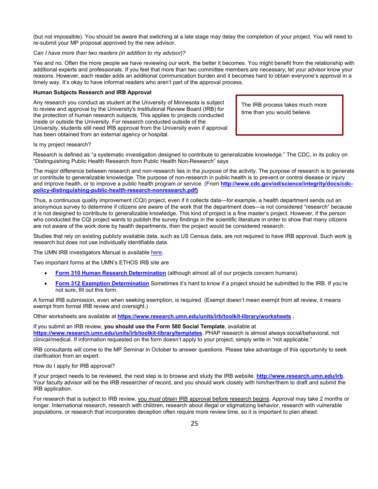(but not impossible). You should be aware that switching at a late stage may delay the completion of your project. You will need to re-submit your MP proposal approved by the new advisor.

#### *Can I have more than two readers (in addition to my advisor)?*

Yes and no. Often the more people we have reviewing our work, the better it becomes. You might benefit from the relationship with additional experts and professionals. If you feel that more than two committee members are necessary, let your advisor know your reasons. However, each reader adds an additional communication burden and it becomes hard to obtain everyone's approval in a timely way. It's okay to have informal readers who aren't part of the approval process.

#### **Human Subjects Research and IRB Approval**

Any research you conduct as student at the University of Minnesota is subject to review and approval by the University's Institutional Review Board (IRB) for the protection of human research subjects. This applies to projects conducted inside or outside the University. For research conducted outside of the University, students still need IRB approval from the University even if approval has been obtained from an external agency or hospital.

The IRB process takes much more time than you would believe.

Is my project research?

Research is defined as "a systematic investigation designed to contribute to generalizable knowledge." The CDC, in its policy on "Distinguishing Public Health Research from Public Health Non-Research" says

The major difference between research and non-research lies in the *purpose* of the activity. The purpose of research is to generate or contribute to generalizable knowledge. The purpose of non-research in public health is to prevent or control disease or injury and improve health, or to improve a public health program or service. (From **[http://www.cdc.gov/od/science/integrity/docs/cdc](http://www.cdc.gov/od/science/integrity/docs/cdc-policy-distinguishing-public-health-research-nonresearch.pdf)[policy-distinguishing-public-health-research-nonresearch.pdf\)](http://www.cdc.gov/od/science/integrity/docs/cdc-policy-distinguishing-public-health-research-nonresearch.pdf)**

Thus, a continuous quality improvement (CQI) project, even if it collects data—for example, a health department sends out an anonymous survey to determine if citizens are aware of the work that the department does—is not considered "research" because it is not designed to contribute to generalizable knowledge. This kind of project is a fine master's project. However, if the person who conducted the CQI project wants to publish the survey findings in the scientific literature in order to show that many citizens are not aware of the work done by health departments, then the project would be considered research.

Studies that rely on existing publicly available data, such as US Census data, are not required to have IRB approval. Such work is research but does not use individually identifiable data.

The UMN IRB investigators Manual is availabl[e here.](https://drive.google.com/file/d/0B7644h9N2vLcOWtzU2FmSU5oS0U/view)

Two important forms at the UMN's ETHOS IRB site are

- **[Form 310 Human Research Determination](https://drive.google.com/file/d/0Bw4LRE9kGb69Mm5TbldxSVkwTms/view)** (although almost all of our projects concern humans).
- **[Form 312 Exemption Determination](https://drive.google.com/file/d/0Bw4LRE9kGb69cVVnNGFpTGhWdUU/view)** Sometimes it's hard to know if a project should be submitted to the IRB. If you're not sure, fill out this form.

A formal IRB submission, even when seeking exemption, is required. (Exempt doesn't mean exempt from all review, it means exempt from formal IRB review and oversight.)

Other worksheets are available at **<https://www.research.umn.edu/units/irb/toolkit-library/worksheets> .**

If you submit an IRB review, **you should use the Form 580 Social Template**, available at **<https://www.research.umn.edu/units/irb/toolkit-library/templates>**. PHAP research is almost always social/behavioral, not clinical/medical. If information requested on the form doesn't apply to your project, simply write in "not applicable."

IRB consultants will come to the MP Seminar in October to answer questions. Please take advantage of this opportunity to seek clarification from an expert.

How do I apply for IRB approval?

If your project needs to be reviewed, the next step is to browse and study the IRB website. **[http://www.research.umn.edu/irb](http://www.research.umn.edu/irb/)**. Your faculty advisor will be the IRB researcher of record, and you should work closely with him/her/them to draft and submit the IRB application.

For research that is subject to IRB review, you *must* obtain IRB approval before research begins. Approval may take 2 months or longer. International research, research with children, research about illegal or stigmatizing behavior, research with vulnerable populations, or research that incorporates deception often require more review time, so it is important to plan ahead.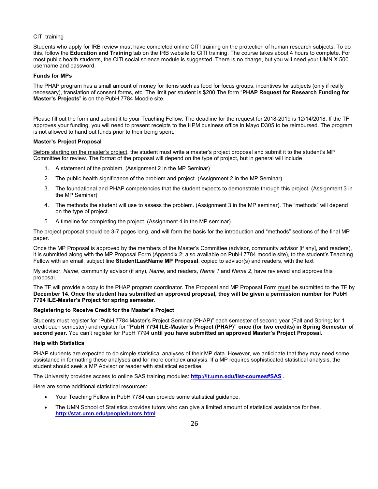#### CITI training

Students who apply for IRB review must have completed online CITI training on the protection of human research subjects. To do this, follow the **Education and Training** tab on the IRB website to CITI training. The course takes about 4 hours to complete. For most public health students, the CITI social science module is suggested. There is no charge, but you will need your UMN X.500 username and password.

#### **Funds for MPs**

The PHAP program has a small amount of money for items such as food for focus groups, incentives for subjects (only if really necessary), translation of consent forms, etc. The limit per student is \$200.The form "**PHAP Request for Research Funding for Master's Projects**" is on the PubH 7784 Moodle site.

Please fill out the form and submit it to your Teaching Fellow. The deadline for the request for 2018-2019 is 12/14/2018. If the TF approves your funding, you will need to present receipts to the HPM business office in Mayo D305 to be reimbursed. The program is not allowed to hand out funds prior to their being spent.

#### **Master's Project Proposal**

Before starting on the master's project, the student must write a master's project proposal and submit it to the student's MP Committee for review. The format of the proposal will depend on the type of project, but in general will include

- 1. A statement of the problem. (Assignment 2 in the MP Seminar)
- 2. The public health significance of the problem and project. (Assignment 2 in the MP Seminar)
- 3. The foundational and PHAP competencies that the student expects to demonstrate through this project. (Assignment 3 in the MP Seminar)
- 4. The methods the student will use to assess the problem. (Assignment 3 in the MP seminar). The "methods" will depend on the type of project.
- 5. A timeline for completing the project. (Assignment 4 in the MP seminar)

The project proposal should be 3-7 pages long, and will form the basis for the introduction and "methods" sections of the final MP paper.

Once the MP Proposal is approved by the members of the Master's Committee (advisor, community advisor [if any], and readers), it is submitted along with the MP Proposal Form (Appendix 2; also available on PubH 7784 moodle site), to the student's Teaching Fellow with an email, subject line **StudentLastName MP Proposal**, copied to advisor(s) and readers, with the text

My advisor, *Name*, community advisor (if any), *Name*, and readers, *Name 1* and *Name 2*, have reviewed and approve this proposal.

The TF will provide a copy to the PHAP program coordinator. The Proposal and MP Proposal Form must be submitted to the TF by **December 14**. **Once the student has submitted an approved proposal, they will be given a permission number for PubH 7794 ILE-Master's Project for spring semester.**

#### **Registering to Receive Credit for the Master's Project**

Students must register for "PubH 7784 Master's Project Seminar (PHAP)" each semester of second year (Fall and Spring; for 1 credit each semester) and register for **"PubH 7794 ILE-Master's Project (PHAP)" once (for two credits) in Spring Semester of second year.** You can't register for PubH 7794 **until you have submitted an approved Master's Project Proposal.** 

#### **Help with Statistics**

PHAP students are expected to do simple statistical analyses of their MP data. However, we anticipate that they may need some assistance in formatting these analyses and for more complex analysis. If a MP requires sophisticated statistical analysis, the student should seek a MP Advisor or reader with statistical expertise.

The University provides access to online SAS training modules: **<http://it.umn.edu/list-courses#SAS> .** 

Here are some additional statistical resources:

- Your Teaching Fellow in PubH 7784 can provide some statistical guidance.
- The UMN School of Statistics provides tutors who can give a limited amount of statistical assistance for free. **<http://stat.umn.edu/people/tutors.html>**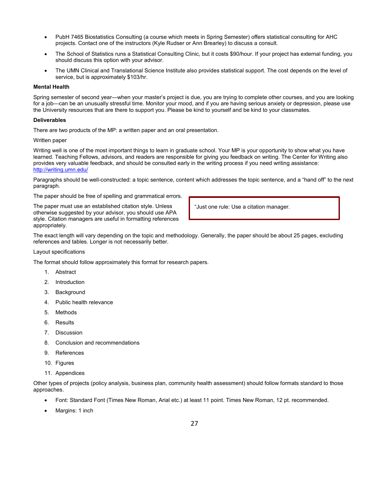- PubH 7465 Biostatistics Consulting (a course which meets in Spring Semester) offers statistical consulting for AHC projects. Contact one of the instructors (Kyle Rudser or Ann Brearley) to discuss a consult.
- The School of Statistics runs a Statistical Consulting Clinic, but it costs \$90/hour. If your project has external funding, you should discuss this option with your advisor.
- The UMN Clinical and Translational Science Institute also provides statistical support. The cost depends on the level of service, but is approximately \$103/hr.

#### **Mental Health**

Spring semester of second year—when your master's project is due, you are trying to complete other courses, and you are looking for a job—can be an unusually stressful time. Monitor your mood, and if you are having serious anxiety or depression, please use the University resources that are there to support you. Please be kind to yourself and be kind to your classmates.

#### **Deliverables**

There are two products of the MP: a written paper and an oral presentation.

#### Written paper

Writing well is one of the most important things to learn in graduate school. Your MP is your opportunity to show what you have learned. Teaching Fellows, advisors, and readers are responsible for giving you feedback on writing. The Center for Writing also provides very valuable feedback, and should be consulted early in the writing process if you need writing assistance: <http://writing.umn.edu/>

Paragraphs should be well-constructed: a topic sentence, content which addresses the topic sentence, and a "hand off" to the next paragraph.

The paper should be free of spelling and grammatical errors.

The paper must use an established citation style. Unless otherwise suggested by your advisor, you should use APA style. Citation managers are useful in formatting references appropriately.

"Just one rule: Use a citation manager.

The exact length will vary depending on the topic and methodology. Generally, the paper should be about 25 pages, excluding references and tables. Longer is not necessarily better.

#### Layout specifications

The format should follow approximately this format for research papers.

- 1. Abstract
- 2. Introduction
- 3. Background
- 4. Public health relevance
- 5. Methods
- 6. Results
- 7. Discussion
- 8. Conclusion and recommendations
- 9. References
- 10. Figures
- 11. Appendices

Other types of projects (policy analysis, business plan, community health assessment) should follow formats standard to those approaches.

- Font: Standard Font (Times New Roman, Arial etc.) at least 11 point. Times New Roman, 12 pt. recommended.
- Margins: 1 inch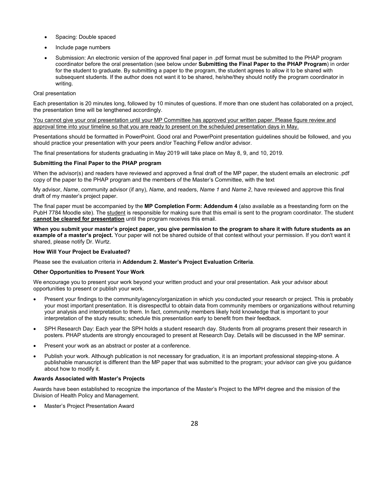- Spacing: Double spaced
- Include page numbers
- Submission: An electronic version of the approved final paper in .pdf format must be submitted to the PHAP program coordinator before the oral presentation (see below under **Submitting the Final Paper to the PHAP Program**) in order for the student to graduate. By submitting a paper to the program, the student agrees to allow it to be shared with subsequent students. If the author does not want it to be shared, he/she/they should notify the program coordinator in writing.

#### Oral presentation

Each presentation is 20 minutes long, followed by 10 minutes of questions. If more than one student has collaborated on a project, the presentation time will be lengthened accordingly.

You cannot give your oral presentation until your MP Committee has approved your written paper. Please figure review and approval time into your timeline so that you are ready to present on the scheduled presentation days in May.

Presentations should be formatted in PowerPoint. Good oral and PowerPoint presentation guidelines should be followed, and you should practice your presentation with your peers and/or Teaching Fellow and/or advisor.

The final presentations for students graduating in May 2019 will take place on May 8, 9, and 10, 2019.

#### **Submitting the Final Paper to the PHAP program**

When the advisor(s) and readers have reviewed and approved a final draft of the MP paper, the student emails an electronic .pdf copy of the paper to the PHAP program and the members of the Master's Committee, with the text

My advisor, *Name*, community advisor (if any), *Name*, and readers, *Name 1* and *Name 2*, have reviewed and approve this final draft of my master's project paper.

The final paper must be accompanied by the **MP Completion Form: Addendum 4** (also available as a freestanding form on the PubH 7784 Moodle site). The student is responsible for making sure that this email is sent to the program coordinator. The student **cannot be cleared for presentation** until the program receives this email.

**When you submit your master's project paper, you give permission to the program to share it with future students as an example of a master's project.** Your paper will not be shared outside of that context without your permission. If you don't want it shared, please notify Dr. Wurtz.

#### **How Will Your Project be Evaluated?**

Please see the evaluation criteria in **Addendum 2. Master's Project Evaluation Criteria**.

#### **Other Opportunities to Present Your Work**

We encourage you to present your work beyond your written product and your oral presentation. Ask your advisor about opportunities to present or publish your work.

- Present your findings to the community/agency/organization in which you conducted your research or project. This is probably your most important presentation. It is disrespectful to obtain data from community members or organizations without returning your analysis and interpretation to them. In fact, community members likely hold knowledge that is important to your interpretation of the study results; schedule this presentation early to benefit from their feedback.
- SPH Research Day: Each year the SPH holds a student research day. Students from all programs present their research in posters. PHAP students are strongly encouraged to present at Research Day. Details will be discussed in the MP seminar.
- Present your work as an abstract or poster at a conference.
- Publish your work. Although publication is not necessary for graduation, it is an important professional stepping-stone. A publishable manuscript is different than the MP paper that was submitted to the program; your advisor can give you guidance about how to modify it.

#### **Awards Associated with Master's Projects**

Awards have been established to recognize the importance of the Master's Project to the MPH degree and the mission of the Division of Health Policy and Management.

• Master's Project Presentation Award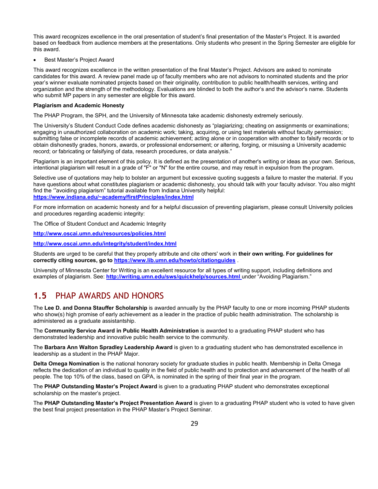This award recognizes excellence in the oral presentation of student's final presentation of the Master's Project. It is awarded based on feedback from audience members at the presentations. Only students who present in the Spring Semester are eligible for this award.

#### • Best Master's Project Award

This award recognizes excellence in the written presentation of the final Master's Project. Advisors are asked to nominate candidates for this award. A review panel made up of faculty members who are not advisors to nominated students and the prior year's winner evaluate nominated projects based on their originality, contribution to public health/health services, writing and organization and the strength of the methodology. Evaluations are blinded to both the author's and the advisor's name. Students who submit MP papers in any semester are eligible for this award.

#### **Plagiarism and Academic Honesty**

The PHAP Program, the SPH, and the University of Minnesota take academic dishonesty extremely seriously.

The University's Student Conduct Code defines academic dishonesty as "plagiarizing; cheating on assignments or examinations; engaging in unauthorized collaboration on academic work; taking, acquiring, or using test materials without faculty permission; submitting false or incomplete records of academic achievement; acting alone or in cooperation with another to falsify records or to obtain dishonestly grades, honors, awards, or professional endorsement; or altering, forging, or misusing a University academic record; or fabricating or falsifying of data, research procedures, or data analysis."

Plagiarism is an important element of this policy. It is defined as the presentation of another's writing or ideas as your own. Serious, intentional plagiarism will result in a grade of "F" or "N" for the entire course, and may result in expulsion from the program.

Selective use of quotations may help to bolster an argument but excessive quoting suggests a failure to master the material. If you have questions about what constitutes plagiarism or academic dishonesty, you should talk with your faculty advisor. You also might find the '"avoiding plagiarism" tutorial available from Indiana University helpful: **[https://www.indiana.edu/~academy/firstPrinciples/index.html](https://www.indiana.edu/%7Eacademy/firstPrinciples/index.html)**

For more information on academic honesty and for a helpful discussion of preventing plagiarism, please consult University policies and procedures regarding academic integrity:

The Office of Student Conduct and Academic Integrity

**<http://www.oscai.umn.edu/resources/policies.html>**

**<http://www.oscai.umn.edu/integrity/student/index.html>**

Students are urged to be careful that they properly attribute and cite others' work in **their own writing. For guidelines for correctly citing sources, go to<https://www.lib.umn.edu/howto/citationguides>** .

University of Minnesota Center for Writing is an excellent resource for all types of writing support, including definitions and examples of plagiarism. See: **<http://writing.umn.edu/sws/quickhelp/sources.html>**under "Avoiding Plagiarism."

## **1.5** PHAP AWARDS AND HONORS

The **Lee D. and Donna Stauffer Scholarship** is awarded annually by the PHAP faculty to one or more incoming PHAP students who show(s) high promise of early achievement as a leader in the practice of public health administration. The scholarship is administered as a graduate assistantship.

The **Community Service Award in Public Health Administration** is awarded to a graduating PHAP student who has demonstrated leadership and innovative public health service to the community.

The **Barbara Ann Walton Spradley Leadership Award** is given to a graduating student who has demonstrated excellence in leadership as a student in the PHAP Major.

**Delta Omega Nomination** is the national honorary society for graduate studies in public health. Membership in Delta Omega reflects the dedication of an individual to quality in the field of public health and to protection and advancement of the health of all people. The top 10% of the class, based on GPA, is nominated in the spring of their final year in the program.

The **PHAP Outstanding Master's Project Award** is given to a graduating PHAP student who demonstrates exceptional scholarship on the master's project.

The **PHAP Outstanding Master's Project Presentation Award** is given to a graduating PHAP student who is voted to have given the best final project presentation in the PHAP Master's Project Seminar.